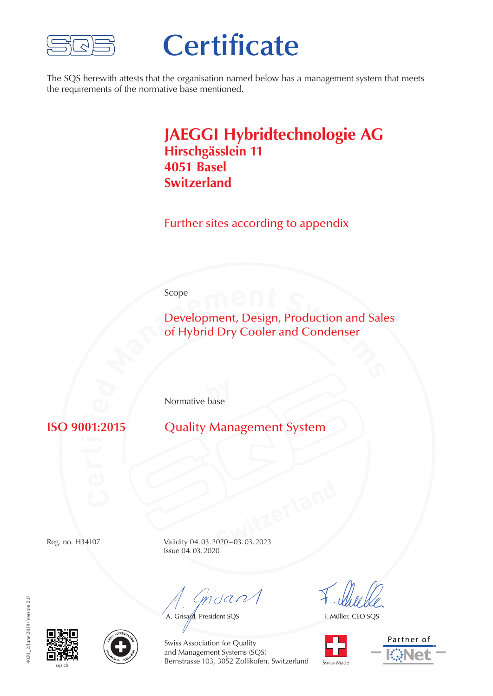

## **Certificate**

The SQS herewith attests that the organisation named below has a management system that meets the requirements of the normative base mentioned.

## **JAEGGI Hybridtechnologie AG Hirschgässlein 11 4051 Basel Switzerland**

Further sites according to appendix

Scope

**Scope**<br>**Development, Design, Production and Sale<br>of Hybrid Dry Cooler and Condenser** Development, Design, Production and Sales of Hybrid Dry Cooler and Condenser

**by** Normative base

**ISO 9001:2015** 

**Quality Management System** 

**Switzerland** Reg. no. H34107 Validity 04.03.2020–03.03.2023 Issue 04.03.2020

mdan

A. Grisard, President SQS

F. Müller, CEO SQS





1020 2/June 2019/Version 2.0 4020\_2/June 2019/Version 2.0





Swiss Association for Quality and Management Systems (SQS) Bernstrasse 103, 3052 Zollikofen, Switzerland